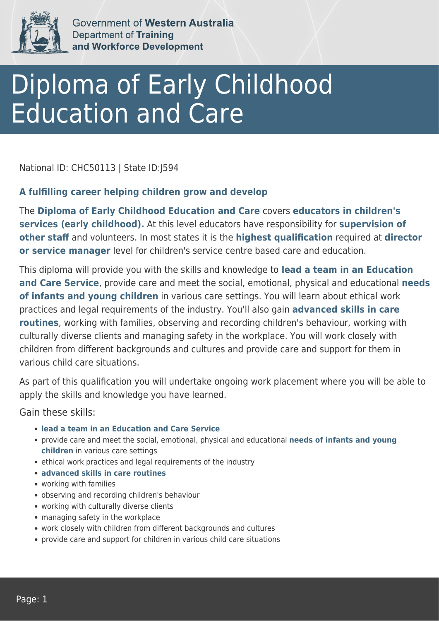

Government of Western Australia **Department of Training** and Workforce Development

# Diploma of Early Childhood Education and Care

National ID: CHC50113 | State ID:J594

#### **A fulfilling career helping children grow and develop**

The **Diploma of Early Childhood Education and Care** covers **educators in children's services (early childhood).** At this level educators have responsibility for **supervision of other staff** and volunteers. In most states it is the **highest qualification** required at **director or service manager** level for children's service centre based care and education.

This diploma will provide you with the skills and knowledge to **lead a team in an Education and Care Service**, provide care and meet the social, emotional, physical and educational **needs of infants and young children** in various care settings. You will learn about ethical work practices and legal requirements of the industry. You'll also gain **advanced skills in care routines**, working with families, observing and recording children's behaviour, working with culturally diverse clients and managing safety in the workplace. You will work closely with children from different backgrounds and cultures and provide care and support for them in various child care situations.

As part of this qualification you will undertake ongoing work placement where you will be able to apply the skills and knowledge you have learned.

Gain these skills:

- **lead a team in an Education and Care Service**
- provide care and meet the social, emotional, physical and educational **needs of infants and young children** in various care settings
- ethical work practices and legal requirements of the industry
- **advanced skills in care routines**
- working with families
- observing and recording children's behaviour
- working with culturally diverse clients
- managing safety in the workplace
- work closely with children from different backgrounds and cultures
- provide care and support for children in various child care situations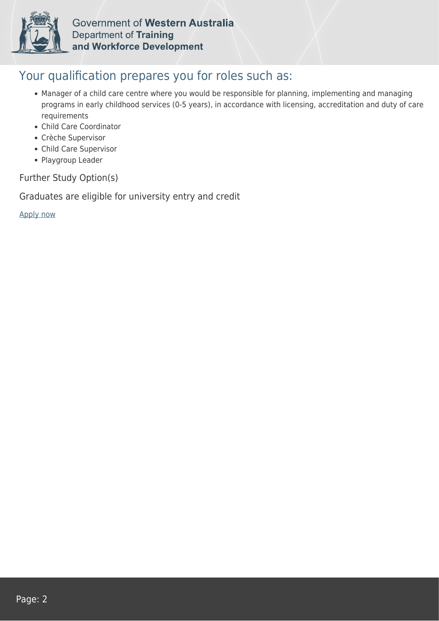

Government of Western Australia **Department of Training** and Workforce Development

#### Your qualification prepares you for roles such as:

- Manager of a child care centre where you would be responsible for planning, implementing and managing programs in early childhood services (0-5 years), in accordance with licensing, accreditation and duty of care requirements
- Child Care Coordinator
- Crèche Supervisor
- Child Care Supervisor
- Playgroup Leader

Further Study Option(s)

Graduates are eligible for university entry and credit

[Apply now](https://tasonline.tafe.wa.edu.au/Default.aspx)